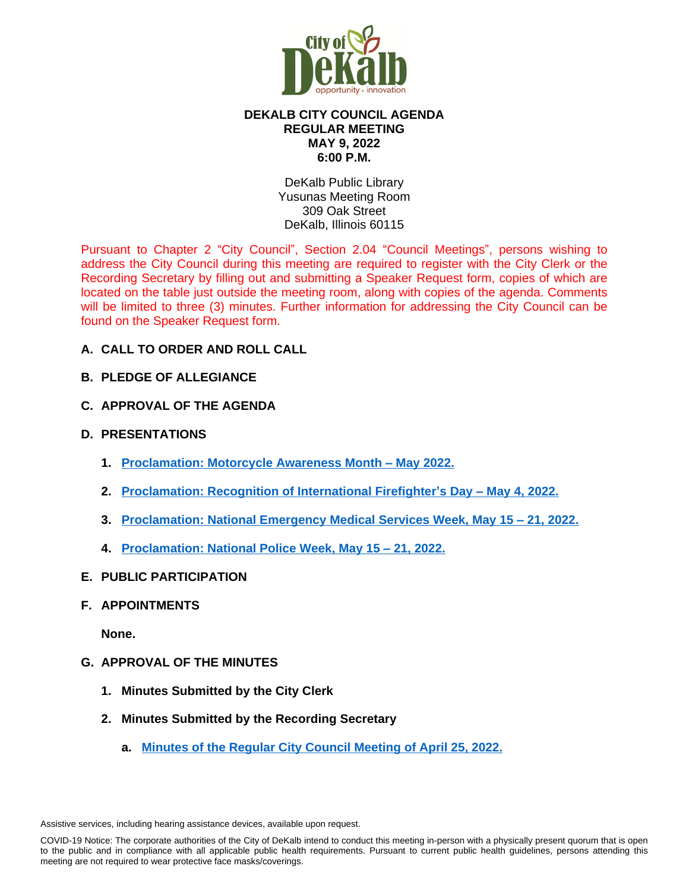

# **DEKALB CITY COUNCIL AGENDA REGULAR MEETING MAY 9, 2022 6:00 P.M.**

DeKalb Public Library Yusunas Meeting Room 309 Oak Street DeKalb, Illinois 60115

Pursuant to Chapter 2 "City Council", Section 2.04 "Council Meetings", persons wishing to address the City Council during this meeting are required to register with the City Clerk or the Recording Secretary by filling out and submitting a Speaker Request form, copies of which are located on the table just outside the meeting room, along with copies of the agenda. Comments will be limited to three (3) minutes. Further information for addressing the City Council can be found on the Speaker Request form.

- **A. CALL TO ORDER AND ROLL CALL**
- **B. PLEDGE OF ALLEGIANCE**
- **C. APPROVAL OF THE AGENDA**
- **D. PRESENTATIONS**
	- **1. [Proclamation: Motorcycle Awareness Month](https://www.cityofdekalb.com/DocumentCenter/View/13836/3-Proc---Motorcycle-Awareness-Month---May-2022) – May 2022.**
	- **2. [Proclamation: Recognition of International Firefighter](https://www.cityofdekalb.com/DocumentCenter/View/13835/2-Proc---Intl-Firefighters-Day-2022)'s Day – May 4, 2022.**
	- **3. [Proclamation: National Emergency Medical Services Week, May 15](https://www.cityofdekalb.com/DocumentCenter/View/13837/4-Proc---Natl-EMS-Week-2022)  21, 2022.**
	- **4. [Proclamation: National Police Week, May 15](https://www.cityofdekalb.com/DocumentCenter/View/13838/5-Proc---Natl-Police-Week-2022) – 21, 2022.**
- **E. PUBLIC PARTICIPATION**
- **F. APPOINTMENTS**

**None.**

- **G. APPROVAL OF THE MINUTES**
	- **1. Minutes Submitted by the City Clerk**
	- **2. Minutes Submitted by the Recording Secretary**
		- **a. [Minutes of the Regular City Council Meeting of April 25, 2022.](https://www.cityofdekalb.com/DocumentCenter/View/13839/6-042522-Regular-Minutes)**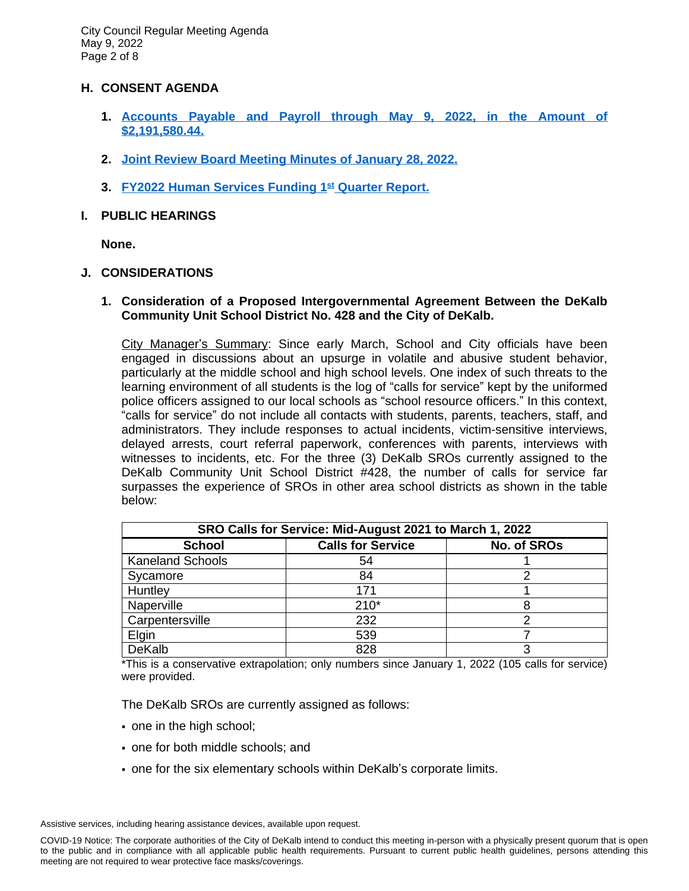### **H. CONSENT AGENDA**

- **1. [Accounts Payable and Payroll through May 9, 2022, in the Amount of](https://www.cityofdekalb.com/DocumentCenter/View/13840/7-APP-050922) [\\$2,191,580.44.](https://www.cityofdekalb.com/DocumentCenter/View/13840/7-APP-050922)**
- **[2.](https://www.cityofdekalb.com/DocumentCenter/View/13840/7-APP-050922) [Joint Review Board Meeting Minutes of January 28, 2022.](https://www.cityofdekalb.com/DocumentCenter/View/13841/8-012822-JRB-Minutes)**
- **3. [FY2022 Human Services Funding 1](https://www.cityofdekalb.com/DocumentCenter/View/13842/9-FY22-HSF-1st-Qtr-Rpt)[st](https://www.cityofdekalb.com/DocumentCenter/View/13842/9-FY22-HSF-1st-Qtr-Rpt) [Quarter Report.](https://www.cityofdekalb.com/DocumentCenter/View/13842/9-FY22-HSF-1st-Qtr-Rpt)**
- **I. PUBLIC HEARINGS**

**None.**

### **J. CONSIDERATIONS**

## **1. Consideration of a Proposed Intergovernmental Agreement Between the DeKalb Community Unit School District No. 428 and the City of DeKalb.**

City Manager's Summary: Since early March, School and City officials have been engaged in discussions about an upsurge in volatile and abusive student behavior, particularly at the middle school and high school levels. One index of such threats to the learning environment of all students is the log of "calls for service" kept by the uniformed police officers assigned to our local schools as "school resource officers." In this context, "calls for service" do not include all contacts with students, parents, teachers, staff, and administrators. They include responses to actual incidents, victim-sensitive interviews, delayed arrests, court referral paperwork, conferences with parents, interviews with witnesses to incidents, etc. For the three (3) DeKalb SROs currently assigned to the DeKalb Community Unit School District #428, the number of calls for service far surpasses the experience of SROs in other area school districts as shown in the table below:

| SRO Calls for Service: Mid-August 2021 to March 1, 2022 |                          |             |  |  |
|---------------------------------------------------------|--------------------------|-------------|--|--|
| <b>School</b>                                           | <b>Calls for Service</b> | No. of SROs |  |  |
| <b>Kaneland Schools</b>                                 | 54                       |             |  |  |
| Sycamore                                                | 84                       |             |  |  |
| Huntley                                                 | 171                      |             |  |  |
| Naperville                                              | $210*$                   |             |  |  |
| Carpentersville                                         | 232                      |             |  |  |
| Elgin                                                   | 539                      |             |  |  |
| DeKalb                                                  | 828                      |             |  |  |

\*This is a conservative extrapolation; only numbers since January 1, 2022 (105 calls for service) were provided.

The DeKalb SROs are currently assigned as follows:

- one in the high school;
- one for both middle schools; and
- one for the six elementary schools within DeKalb's corporate limits.

COVID-19 Notice: The corporate authorities of the City of DeKalb intend to conduct this meeting in-person with a physically present quorum that is open to the public and in compliance with all applicable public health requirements. Pursuant to current public health guidelines, persons attending this meeting are not required to wear protective face masks/coverings.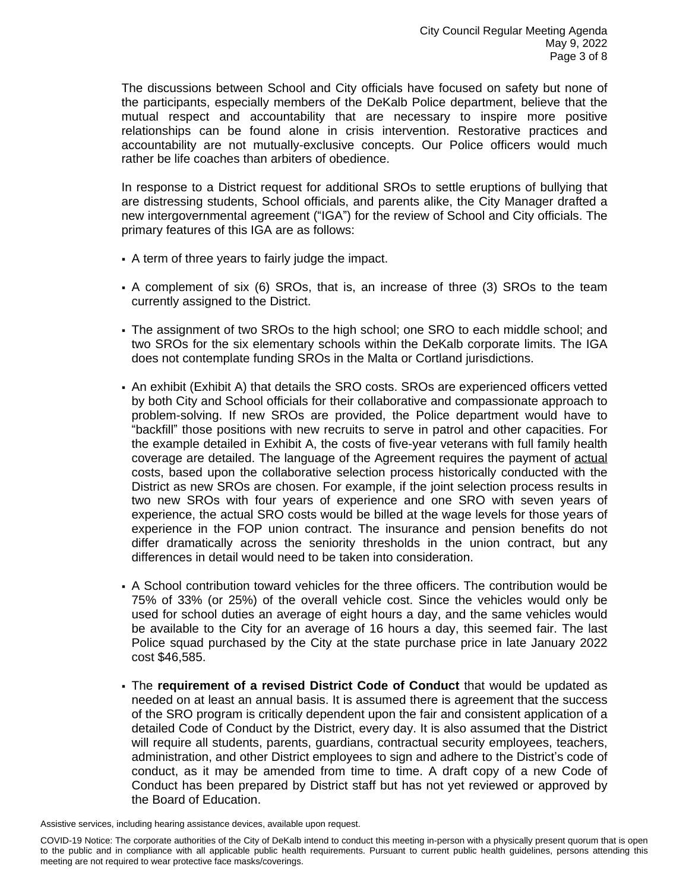The discussions between School and City officials have focused on safety but none of the participants, especially members of the DeKalb Police department, believe that the mutual respect and accountability that are necessary to inspire more positive relationships can be found alone in crisis intervention. Restorative practices and accountability are not mutually-exclusive concepts. Our Police officers would much rather be life coaches than arbiters of obedience.

In response to a District request for additional SROs to settle eruptions of bullying that are distressing students, School officials, and parents alike, the City Manager drafted a new intergovernmental agreement ("IGA") for the review of School and City officials. The primary features of this IGA are as follows:

- A term of three years to fairly judge the impact.
- A complement of six (6) SROs, that is, an increase of three (3) SROs to the team currently assigned to the District.
- The assignment of two SROs to the high school; one SRO to each middle school; and two SROs for the six elementary schools within the DeKalb corporate limits. The IGA does not contemplate funding SROs in the Malta or Cortland jurisdictions.
- An exhibit (Exhibit A) that details the SRO costs. SROs are experienced officers vetted by both City and School officials for their collaborative and compassionate approach to problem-solving. If new SROs are provided, the Police department would have to "backfill" those positions with new recruits to serve in patrol and other capacities. For the example detailed in Exhibit A, the costs of five-year veterans with full family health coverage are detailed. The language of the Agreement requires the payment of actual costs, based upon the collaborative selection process historically conducted with the District as new SROs are chosen. For example, if the joint selection process results in two new SROs with four years of experience and one SRO with seven years of experience, the actual SRO costs would be billed at the wage levels for those years of experience in the FOP union contract. The insurance and pension benefits do not differ dramatically across the seniority thresholds in the union contract, but any differences in detail would need to be taken into consideration.
- A School contribution toward vehicles for the three officers. The contribution would be 75% of 33% (or 25%) of the overall vehicle cost. Since the vehicles would only be used for school duties an average of eight hours a day, and the same vehicles would be available to the City for an average of 16 hours a day, this seemed fair. The last Police squad purchased by the City at the state purchase price in late January 2022 cost \$46,585.
- The **requirement of a revised District Code of Conduct** that would be updated as needed on at least an annual basis. It is assumed there is agreement that the success of the SRO program is critically dependent upon the fair and consistent application of a detailed Code of Conduct by the District, every day. It is also assumed that the District will require all students, parents, guardians, contractual security employees, teachers, administration, and other District employees to sign and adhere to the District's code of conduct, as it may be amended from time to time. A draft copy of a new Code of Conduct has been prepared by District staff but has not yet reviewed or approved by the Board of Education.

COVID-19 Notice: The corporate authorities of the City of DeKalb intend to conduct this meeting in-person with a physically present quorum that is open to the public and in compliance with all applicable public health requirements. Pursuant to current public health guidelines, persons attending this meeting are not required to wear protective face masks/coverings.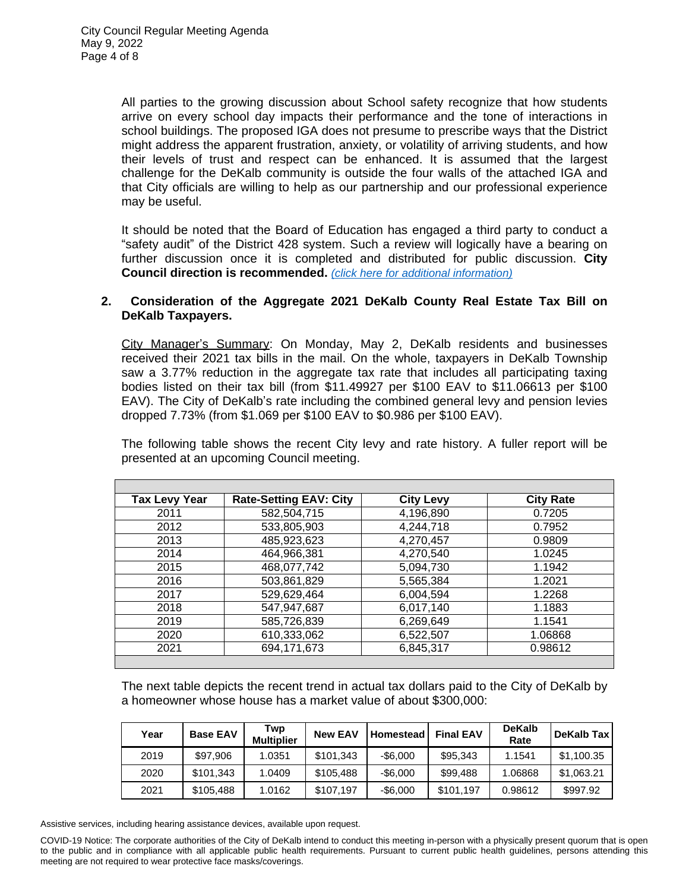All parties to the growing discussion about School safety recognize that how students arrive on every school day impacts their performance and the tone of interactions in school buildings. The proposed IGA does not presume to prescribe ways that the District might address the apparent frustration, anxiety, or volatility of arriving students, and how their levels of trust and respect can be enhanced. It is assumed that the largest challenge for the DeKalb community is outside the four walls of the attached IGA and that City officials are willing to help as our partnership and our professional experience may be useful.

It should be noted that the Board of Education has engaged a third party to conduct a "safety audit" of the District 428 system. Such a review will logically have a bearing on further discussion once it is completed and distributed for public discussion. **City Council direction is recommended.** *[\(click here for additional information\)](https://www.cityofdekalb.com/DocumentCenter/View/13843/10-SRO---Exhibit-A)*

## **2. Consideration of the Aggregate 2021 DeKalb County Real Estate Tax Bill on DeKalb Taxpayers.**

City Manager's Summary: On Monday, May 2, DeKalb residents and businesses received their 2021 tax bills in the mail. On the whole, taxpayers in DeKalb Township saw a 3.77% reduction in the aggregate tax rate that includes all participating taxing bodies listed on their tax bill (from \$11.49927 per \$100 EAV to \$11.06613 per \$100 EAV). The City of DeKalb's rate including the combined general levy and pension levies dropped 7.73% (from \$1.069 per \$100 EAV to \$0.986 per \$100 EAV).

The following table shows the recent City levy and rate history. A fuller report will be presented at an upcoming Council meeting.

| <b>Tax Levy Year</b> | <b>Rate-Setting EAV: City</b> | <b>City Levy</b> | <b>City Rate</b> |
|----------------------|-------------------------------|------------------|------------------|
| 2011                 | 582,504,715                   | 4,196,890        | 0.7205           |
| 2012                 | 533,805,903                   | 4,244,718        | 0.7952           |
| 2013                 | 485,923,623                   | 4,270,457        | 0.9809           |
| 2014                 | 464,966,381                   | 4,270,540        | 1.0245           |
| 2015                 | 468,077,742                   | 5,094,730        | 1.1942           |
| 2016                 | 503,861,829                   | 5,565,384        | 1.2021           |
| 2017                 | 529,629,464                   | 6,004,594        | 1.2268           |
| 2018                 | 547,947,687                   | 6,017,140        | 1.1883           |
| 2019                 | 585,726,839                   | 6,269,649        | 1.1541           |
| 2020                 | 610,333,062                   | 6,522,507        | 1.06868          |
| 2021                 | 694,171,673                   | 6,845,317        | 0.98612          |
|                      |                               |                  |                  |

The next table depicts the recent trend in actual tax dollars paid to the City of DeKalb by a homeowner whose house has a market value of about \$300,000:

| Year | <b>Base EAV</b> | Twp<br><b>Multiplier</b> | <b>New EAV</b> | Homestead   | <b>Final EAV</b> | <b>DeKalb</b><br>Rate | DeKalb Tax |
|------|-----------------|--------------------------|----------------|-------------|------------------|-----------------------|------------|
| 2019 | \$97,906        | 1.0351                   | \$101.343      | $-$ \$6.000 | \$95.343         | 1.1541                | \$1,100.35 |
| 2020 | \$101,343       | 1.0409                   | \$105.488      | $-$ \$6.000 | \$99,488         | 1.06868               | \$1,063.21 |
| 2021 | \$105,488       | 1.0162                   | \$107.197      | $-$6.000$   | \$101.197        | 0.98612               | \$997.92   |

Assistive services, including hearing assistance devices, available upon request.

COVID-19 Notice: The corporate authorities of the City of DeKalb intend to conduct this meeting in-person with a physically present quorum that is open to the public and in compliance with all applicable public health requirements. Pursuant to current public health guidelines, persons attending this meeting are not required to wear protective face masks/coverings.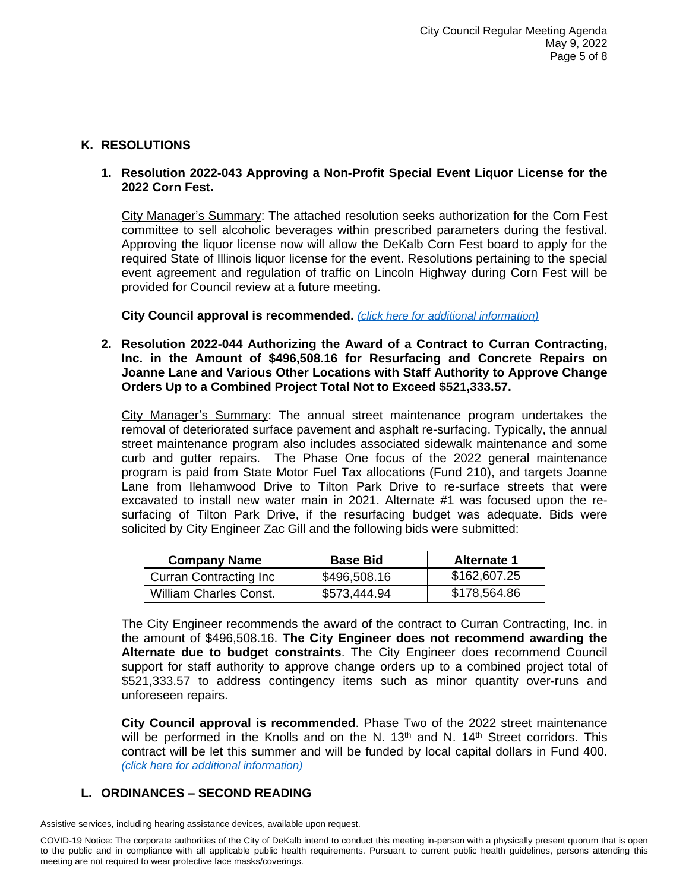# **K. RESOLUTIONS**

# **1. Resolution 2022-043 Approving a Non-Profit Special Event Liquor License for the 2022 Corn Fest.**

City Manager's Summary: The attached resolution seeks authorization for the Corn Fest committee to sell alcoholic beverages within prescribed parameters during the festival. Approving the liquor license now will allow the DeKalb Corn Fest board to apply for the required State of Illinois liquor license for the event. Resolutions pertaining to the special event agreement and regulation of traffic on Lincoln Highway during Corn Fest will be provided for Council review at a future meeting.

**City Council approval is recommended.** *[\(click here for additional information\)](https://www.cityofdekalb.com/DocumentCenter/View/13844/11-Res-2022-043)*

**2. Resolution 2022-044 Authorizing the Award of a Contract to Curran Contracting, Inc. in the Amount of \$496,508.16 for Resurfacing and Concrete Repairs on Joanne Lane and Various Other Locations with Staff Authority to Approve Change Orders Up to a Combined Project Total Not to Exceed \$521,333.57.**

City Manager's Summary: The annual street maintenance program undertakes the removal of deteriorated surface pavement and asphalt re-surfacing. Typically, the annual street maintenance program also includes associated sidewalk maintenance and some curb and gutter repairs. The Phase One focus of the 2022 general maintenance program is paid from State Motor Fuel Tax allocations (Fund 210), and targets Joanne Lane from Ilehamwood Drive to Tilton Park Drive to re-surface streets that were excavated to install new water main in 2021. Alternate #1 was focused upon the resurfacing of Tilton Park Drive, if the resurfacing budget was adequate. Bids were solicited by City Engineer Zac Gill and the following bids were submitted:

| <b>Company Name</b>            | <b>Base Bid</b> | <b>Alternate 1</b> |
|--------------------------------|-----------------|--------------------|
| <b>Curran Contracting Inc.</b> | \$496,508.16    | \$162,607.25       |
| <b>William Charles Const.</b>  | \$573,444.94    | \$178,564.86       |

The City Engineer recommends the award of the contract to Curran Contracting, Inc. in the amount of \$496,508.16. **The City Engineer does not recommend awarding the Alternate due to budget constraints**. The City Engineer does recommend Council support for staff authority to approve change orders up to a combined project total of \$521,333.57 to address contingency items such as minor quantity over-runs and unforeseen repairs.

**City Council approval is recommended**. Phase Two of the 2022 street maintenance will be performed in the Knolls and on the N.  $13<sup>th</sup>$  and N.  $14<sup>th</sup>$  Street corridors. This contract will be let this summer and will be funded by local capital dollars in Fund 400. *[\(click here for additional information\)](https://www.cityofdekalb.com/DocumentCenter/View/13845/12-Res-2022-044)*

# **L. ORDINANCES – SECOND READING**

COVID-19 Notice: The corporate authorities of the City of DeKalb intend to conduct this meeting in-person with a physically present quorum that is open to the public and in compliance with all applicable public health requirements. Pursuant to current public health guidelines, persons attending this meeting are not required to wear protective face masks/coverings.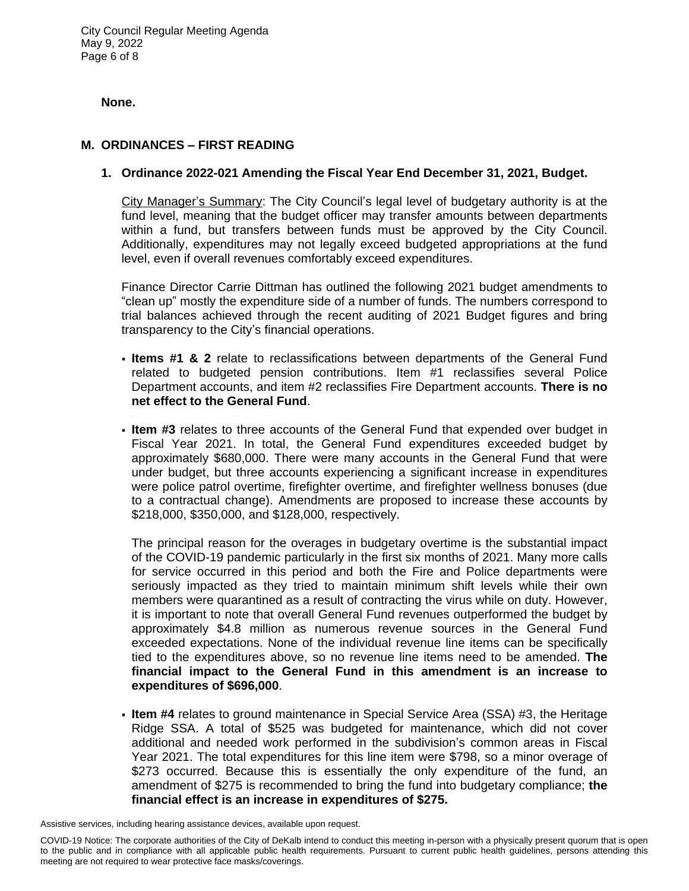City Council Regular Meeting Agenda May 9, 2022 Page 6 of 8

### **None.**

# **M. ORDINANCES – FIRST READING**

## **1. Ordinance 2022-021 Amending the Fiscal Year End December 31, 2021, Budget.**

City Manager's Summary: The City Council's legal level of budgetary authority is at the fund level, meaning that the budget officer may transfer amounts between departments within a fund, but transfers between funds must be approved by the City Council. Additionally, expenditures may not legally exceed budgeted appropriations at the fund level, even if overall revenues comfortably exceed expenditures.

Finance Director Carrie Dittman has outlined the following 2021 budget amendments to "clean up" mostly the expenditure side of a number of funds. The numbers correspond to trial balances achieved through the recent auditing of 2021 Budget figures and bring transparency to the City's financial operations.

- **Items #1 & 2** relate to reclassifications between departments of the General Fund related to budgeted pension contributions. Item #1 reclassifies several Police Department accounts, and item #2 reclassifies Fire Department accounts. **There is no net effect to the General Fund**.
- **Item #3** relates to three accounts of the General Fund that expended over budget in Fiscal Year 2021. In total, the General Fund expenditures exceeded budget by approximately \$680,000. There were many accounts in the General Fund that were under budget, but three accounts experiencing a significant increase in expenditures were police patrol overtime, firefighter overtime, and firefighter wellness bonuses (due to a contractual change). Amendments are proposed to increase these accounts by \$218,000, \$350,000, and \$128,000, respectively.

The principal reason for the overages in budgetary overtime is the substantial impact of the COVID-19 pandemic particularly in the first six months of 2021. Many more calls for service occurred in this period and both the Fire and Police departments were seriously impacted as they tried to maintain minimum shift levels while their own members were quarantined as a result of contracting the virus while on duty. However, it is important to note that overall General Fund revenues outperformed the budget by approximately \$4.8 million as numerous revenue sources in the General Fund exceeded expectations. None of the individual revenue line items can be specifically tied to the expenditures above, so no revenue line items need to be amended. **The financial impact to the General Fund in this amendment is an increase to expenditures of \$696,000**.

 **Item #4** relates to ground maintenance in Special Service Area (SSA) #3, the Heritage Ridge SSA. A total of \$525 was budgeted for maintenance, which did not cover additional and needed work performed in the subdivision's common areas in Fiscal Year 2021. The total expenditures for this line item were \$798, so a minor overage of \$273 occurred. Because this is essentially the only expenditure of the fund, an amendment of \$275 is recommended to bring the fund into budgetary compliance; **the financial effect is an increase in expenditures of \$275.**

COVID-19 Notice: The corporate authorities of the City of DeKalb intend to conduct this meeting in-person with a physically present quorum that is open to the public and in compliance with all applicable public health requirements. Pursuant to current public health guidelines, persons attending this meeting are not required to wear protective face masks/coverings.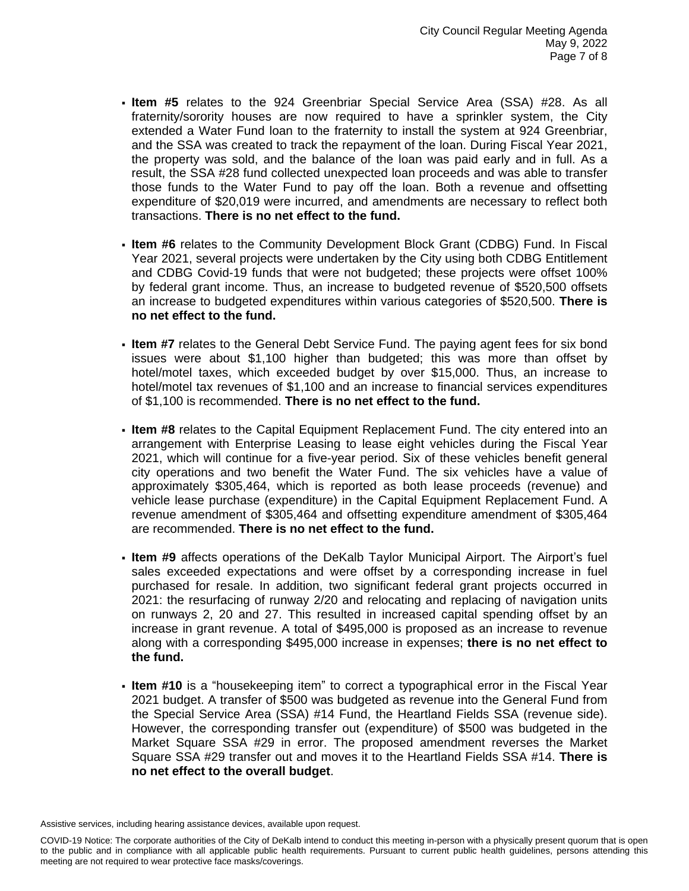- **Item #5** relates to the 924 Greenbriar Special Service Area (SSA) #28. As all fraternity/sorority houses are now required to have a sprinkler system, the City extended a Water Fund loan to the fraternity to install the system at 924 Greenbriar, and the SSA was created to track the repayment of the loan. During Fiscal Year 2021, the property was sold, and the balance of the loan was paid early and in full. As a result, the SSA #28 fund collected unexpected loan proceeds and was able to transfer those funds to the Water Fund to pay off the loan. Both a revenue and offsetting expenditure of \$20,019 were incurred, and amendments are necessary to reflect both transactions. **There is no net effect to the fund.**
- **Item #6** relates to the Community Development Block Grant (CDBG) Fund. In Fiscal Year 2021, several projects were undertaken by the City using both CDBG Entitlement and CDBG Covid-19 funds that were not budgeted; these projects were offset 100% by federal grant income. Thus, an increase to budgeted revenue of \$520,500 offsets an increase to budgeted expenditures within various categories of \$520,500. **There is no net effect to the fund.**
- **Item #7** relates to the General Debt Service Fund. The paying agent fees for six bond issues were about \$1,100 higher than budgeted; this was more than offset by hotel/motel taxes, which exceeded budget by over \$15,000. Thus, an increase to hotel/motel tax revenues of \$1,100 and an increase to financial services expenditures of \$1,100 is recommended. **There is no net effect to the fund.**
- **Item #8** relates to the Capital Equipment Replacement Fund. The city entered into an arrangement with Enterprise Leasing to lease eight vehicles during the Fiscal Year 2021, which will continue for a five-year period. Six of these vehicles benefit general city operations and two benefit the Water Fund. The six vehicles have a value of approximately \$305,464, which is reported as both lease proceeds (revenue) and vehicle lease purchase (expenditure) in the Capital Equipment Replacement Fund. A revenue amendment of \$305,464 and offsetting expenditure amendment of \$305,464 are recommended. **There is no net effect to the fund.**
- **Item #9** affects operations of the DeKalb Taylor Municipal Airport. The Airport's fuel sales exceeded expectations and were offset by a corresponding increase in fuel purchased for resale. In addition, two significant federal grant projects occurred in 2021: the resurfacing of runway 2/20 and relocating and replacing of navigation units on runways 2, 20 and 27. This resulted in increased capital spending offset by an increase in grant revenue. A total of \$495,000 is proposed as an increase to revenue along with a corresponding \$495,000 increase in expenses; **there is no net effect to the fund.**
- **Item #10** is a "housekeeping item" to correct a typographical error in the Fiscal Year 2021 budget. A transfer of \$500 was budgeted as revenue into the General Fund from the Special Service Area (SSA) #14 Fund, the Heartland Fields SSA (revenue side). However, the corresponding transfer out (expenditure) of \$500 was budgeted in the Market Square SSA #29 in error. The proposed amendment reverses the Market Square SSA #29 transfer out and moves it to the Heartland Fields SSA #14. **There is no net effect to the overall budget**.

COVID-19 Notice: The corporate authorities of the City of DeKalb intend to conduct this meeting in-person with a physically present quorum that is open to the public and in compliance with all applicable public health requirements. Pursuant to current public health guidelines, persons attending this meeting are not required to wear protective face masks/coverings.